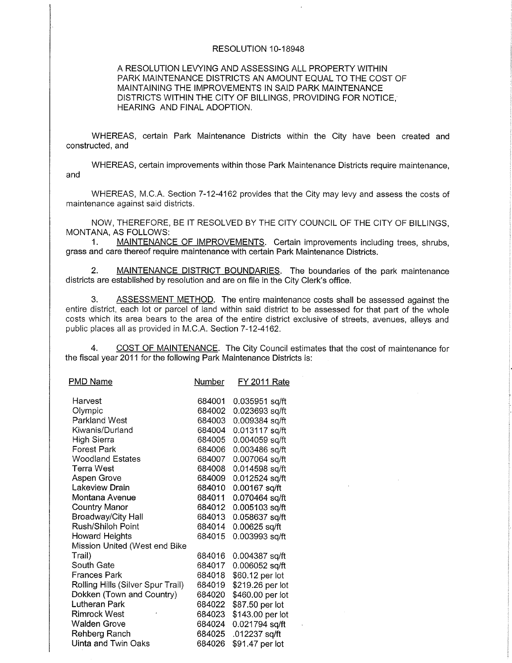## RESOLUTION IO-18948

## A RESOLUTION LEVYING AND ASSESSING ALL PROPERTY WITHIN PARK MAINTENANCE DISTRICTS AN AMOUNT EQUAL TO THE COST OF MAINTAINING THE IMPROVEMENTS IN SAID PARK MAINTENANCE DISTRICTS WITHIN THE CITY OF BILLINGS, PROVIDING FOR NOTICE, HEARING AND FINAL ADOPTION.

WHEREAS, certain Park Maintenance Districts within the City have been created and constructed, and

WHEREAS, certain improvements within those Park Maintenance Districts require maintenance, and

WHEREAS, M.C.A. Section 7-12-4162 provides that the City may levy and assess the costs of maintenance against said districts.

NOW, THEREFORE, BE IT RESOLVED BY THE CITY COUNCIL OF THE CITY OF BILLINGS, MONTANA. AS FOLLOWS:

1. MAINTENANCE OF IMPROVEMENTS. Certain improvements including trees, shrubs, grass and care thereof require maintenance with ceftain Park Maintenance Districts.

2. MAINTENANCE DISTRICT BOUNDARIES. The boundaries of the park maintenance dístricts are established by resolution and are on file in the City Clerk's office.

3. ASSESSMENT METHOD. The entire maintenance costs shall be assessed against the entire district, each lot or parcel of land within said district to be assessed for that part of the whole costs which its area bears to the area of the entire district exclusive of streets, avenues, allevs and public places all as provided in M.C.A. Section 7-12-4162.

4. COST OF MAINTENANCE. The City Council estimates that the cost of maintenance for the fiscal year 2011 for the following Park Maintenance Districts is:

| <b>PMD Name</b>                   | Number | FY 2011 Rate     |
|-----------------------------------|--------|------------------|
| Harvest                           |        |                  |
|                                   | 684001 | 0.035951 sq/ft   |
| Olympic                           | 684002 | 0.023693 sq/ft   |
| Parkland West                     | 684003 | 0.009384 sq/ft   |
| Kiwanis/Durland                   | 684004 | 0.013117 sq/ft   |
| High Sierra                       | 684005 | 0.004059 sq/ft   |
| Forest Park                       | 684006 | 0.003486 sq/ft   |
| <b>Woodland Estates</b>           | 684007 | 0.007064 sq/ft   |
| Terra West                        | 684008 | 0.014598 sq/ft   |
| Aspen Grove                       | 684009 | 0.012524 sq/ft   |
| Lakeview Drain                    | 684010 | 0.00167 sq/ft    |
| Montana Avenue                    | 684011 | 0.070464 sq/ft   |
| <b>Country Manor</b>              | 684012 | 0.005103 sq/ft   |
| Broadway/City Hall                | 684013 | 0.058637 sq/ft   |
| Rush/Shiloh Point                 | 684014 | 0.00625 sq/ft    |
| Howard Heights                    | 684015 | 0.003993 sq/ft   |
| Mission United (West end Bike     |        |                  |
| Trail)                            | 684016 | 0.004387 sq/ft   |
| South Gate                        | 684017 | 0.006052 sq/ft   |
| Frances Park                      | 684018 | \$60.12 per lot  |
| Rolling Hills (Silver Spur Trail) | 684019 | \$219.26 per lot |
| Dokken (Town and Country)         | 684020 | \$460.00 per lot |
| Lutheran Park                     | 684022 | \$87.50 per lot  |
| <b>Rimrock West</b>               | 684023 | \$143.00 per lot |
| <b>Walden Grove</b>               | 684024 | 0.021794 sq/ft   |
| Rehberg Ranch                     | 684025 | .012237 sq/ft    |
| Uinta and Twin Oaks               | 684026 | \$91.47 per lot  |